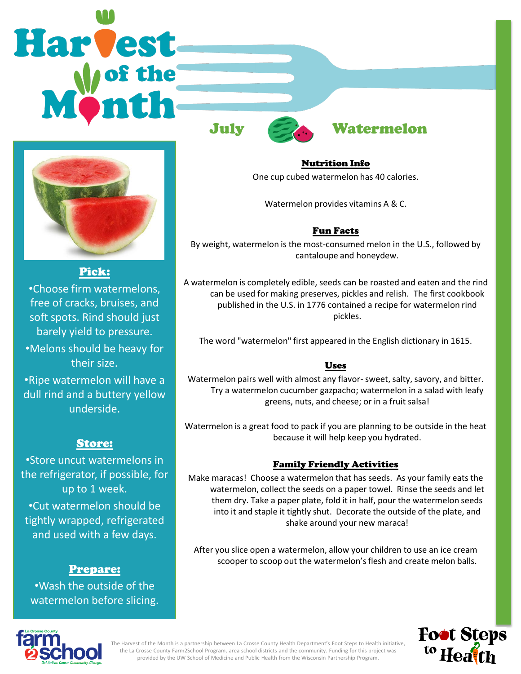# **Harvest**



Pick:

•Choose firm watermelons, free of cracks, bruises, and soft spots. Rind should just barely yield to pressure. •Melons should be heavy for their size. •Ripe watermelon will have a

dull rind and a buttery yellow underside.

## Store:

•Store uncut watermelons in the refrigerator, if possible, for up to 1 week. •Cut watermelon should be tightly wrapped, refrigerated and used with a few days.

### Prepare:

•Wash the outside of the watermelon before slicing.



Nutrition Info One cup cubed watermelon has 40 calories.

Watermelon provides vitamins A & C.

### Fun Facts

By weight, watermelon is the most-consumed melon in the U.S., followed by cantaloupe and honeydew.

A watermelon is completely edible, seeds can be roasted and eaten and the rind can be used for making preserves, pickles and relish. The first cookbook published in the U.S. in 1776 contained a recipe for watermelon rind pickles.

The word "watermelon" first appeared in the English dictionary in 1615.

### Uses

Watermelon pairs well with almost any flavor- sweet, salty, savory, and bitter. Try a watermelon cucumber gazpacho; watermelon in a salad with leafy greens, nuts, and cheese; or in a fruit salsa!

Watermelon is a great food to pack if you are planning to be outside in the heat because it will help keep you hydrated.

### Family Friendly Activities

Make maracas! Choose a watermelon that has seeds. As your family eats the watermelon, collect the seeds on a paper towel. Rinse the seeds and let them dry. Take a paper plate, fold it in half, pour the watermelon seeds into it and staple it tightly shut. Decorate the outside of the plate, and shake around your new maraca!

After you slice open a watermelon, allow your children to use an ice cream scooper to scoop out the watermelon's flesh and create melon balls.